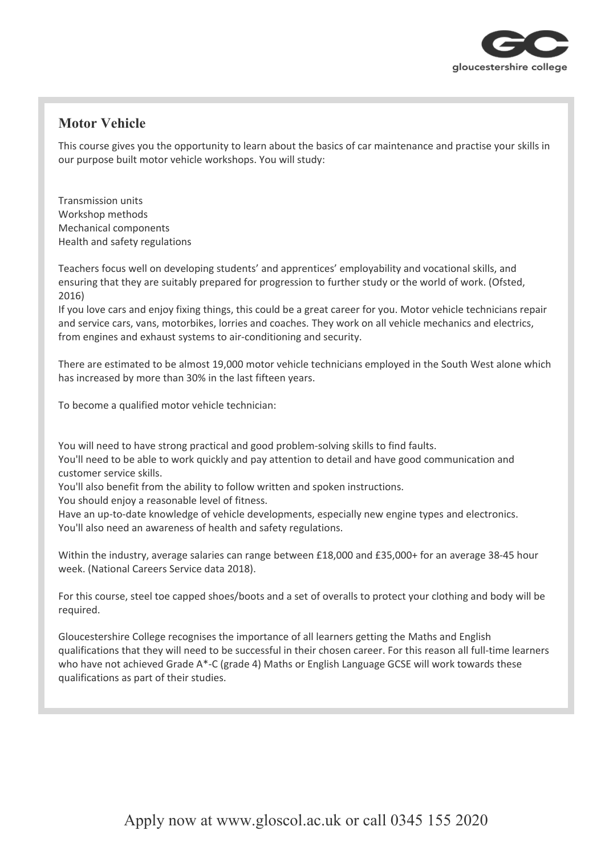

## **Motor Vehicle**

This course gives you the opportunity to learn about the basics of car maintenance and practise your skills in our purpose built motor vehicle workshops. You will study:

Transmission units Workshop methods Mechanical components Health and safety regulations

Teachers focus well on developing students' and apprentices' employability and vocational skills, and ensuring that they are suitably prepared for progression to further study or the world of work. (Ofsted, 2016)

If you love cars and enjoy fixing things, this could be a great career for you. Motor vehicle technicians repair and service cars, vans, motorbikes, lorries and coaches. They work on all vehicle mechanics and electrics, from engines and exhaust systems to air-conditioning and security.

There are estimated to be almost 19,000 motor vehicle technicians employed in the South West alone which has increased by more than 30% in the last fifteen years.

To become a qualified motor vehicle technician:

You will need to have strong practical and good problem-solving skills to find faults.

You'll need to be able to work quickly and pay attention to detail and have good communication and customer service skills.

You'll also benefit from the ability to follow written and spoken instructions.

You should enjoy a reasonable level of fitness.

Have an up-to-date knowledge of vehicle developments, especially new engine types and electronics. You'll also need an awareness of health and safety regulations.

Within the industry, average salaries can range between £18,000 and £35,000+ for an average 38-45 hour week. (National Careers Service data 2018).

For this course, steel toe capped shoes/boots and a set of overalls to protect your clothing and body will be required.

Gloucestershire College recognises the importance of all learners getting the Maths and English qualifications that they will need to be successful in their chosen career. For this reason all full-time learners who have not achieved Grade A\*-C (grade 4) Maths or English Language GCSE will work towards these qualifications as part of their studies.